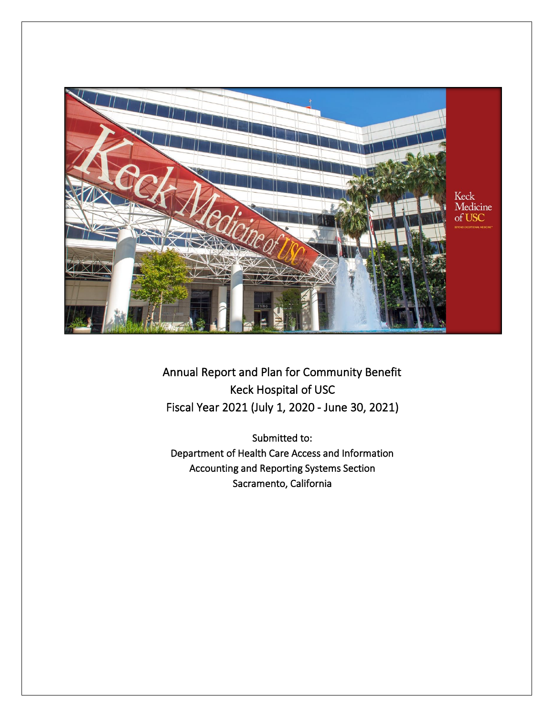

Annual Report and Plan for Community Benefit Keck Hospital of USC Fiscal Year 2021 (July 1, 2020 - June 30, 2021)

Submitted to: Department of Health Care Access and Information Accounting and Reporting Systems Section Sacramento, California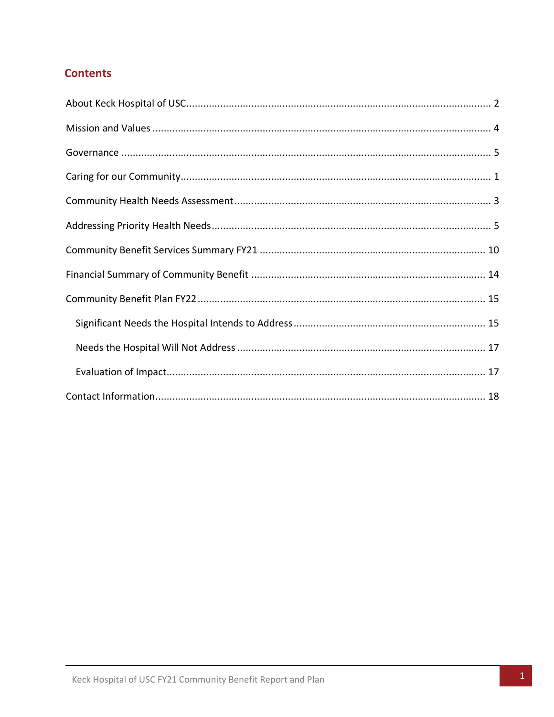# **Contents**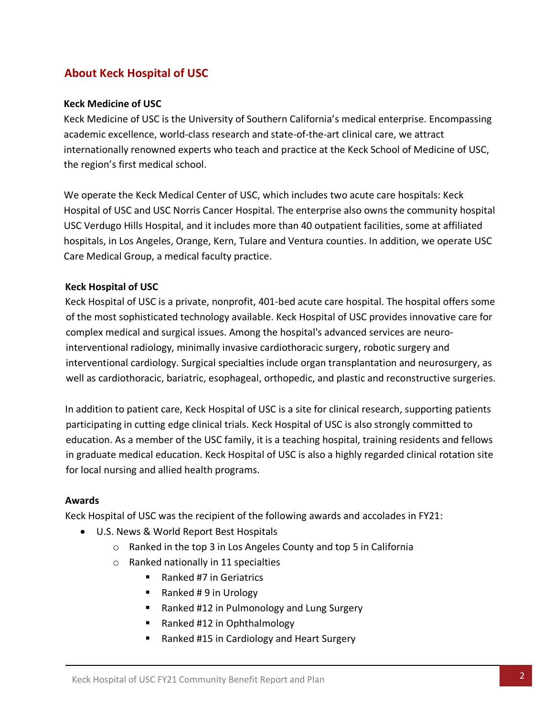# <span id="page-2-0"></span>**About Keck Hospital of USC**

### **Keck Medicine of USC**

Keck Medicine of USC is the University of Southern California's medical enterprise. Encompassing academic excellence, world-class research and state-of-the-art clinical care, we attract internationally renowned experts who teach and practice at the Keck School of Medicine of USC, the region's first medical school.

We operate the Keck Medical Center of USC, which includes two acute care hospitals: Keck Hospital of USC and USC Norris Cancer Hospital. The enterprise also owns the community hospital USC Verdugo Hills Hospital, and it includes more than 40 outpatient facilities, some at affiliated hospitals, in Los Angeles, Orange, Kern, Tulare and Ventura counties. In addition, we operate USC Care Medical Group, a medical faculty practice.

### **Keck Hospital of USC**

Keck Hospital of USC is a private, nonprofit, 401-bed acute care hospital. The hospital offers some of the most sophisticated technology available. Keck Hospital of USC provides innovative care for complex medical and surgical issues. Among the hospital's advanced services are neurointerventional radiology, minimally invasive cardiothoracic surgery, robotic surgery and interventional cardiology. Surgical specialties include organ transplantation and neurosurgery, as well as [cardiothoracic,](http://www.uscuniversityhospital.org/uscuh/services/heart-and-lung-services/cardiothoracic-surgery) [bariatric,](http://www.uscuniversityhospital.org/uscuh/services/weight-loss-and-digestive-disorders/bariatrics) esophageal, orthopedic, and plastic and reconstructive surgeries.

In addition to patient care, Keck Hospital of USC is a site for clinical research, supporting patients participating in cutting edge clinical trials. Keck Hospital of USC is also strongly committed to education. As a member of the USC family, it is a teaching hospital, training residents and fellows in graduate medical education. Keck Hospital of USC is also a highly regarded clinical rotation site for local nursing and allied health programs.

### **Awards**

Keck Hospital of USC was the recipient of the following awards and accolades in FY21:

- U.S. News & World Report Best Hospitals
	- o Ranked in the top 3 in Los Angeles County and top 5 in California
	- o Ranked nationally in 11 specialties
		- Ranked #7 in Geriatrics
		- Ranked # 9 in Urology
		- Ranked #12 in Pulmonology and Lung Surgery
		- Ranked #12 in Ophthalmology
		- Ranked #15 in Cardiology and Heart Surgery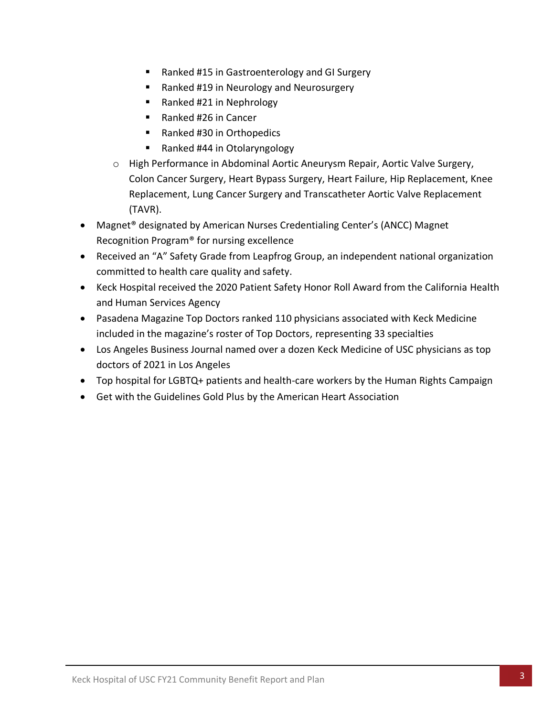- Ranked #15 in Gastroenterology and GI Surgery
- Ranked #19 in Neurology and Neurosurgery
- Ranked #21 in Nephrology
- Ranked #26 in Cancer
- Ranked #30 in Orthopedics
- Ranked #44 in Otolaryngology
- o High Performance in Abdominal Aortic Aneurysm Repair, Aortic Valve Surgery, Colon Cancer Surgery, Heart Bypass Surgery, Heart Failure, Hip Replacement, Knee Replacement, Lung Cancer Surgery and Transcatheter Aortic Valve Replacement (TAVR).
- Magnet® designated by American Nurses Credentialing Center's (ANCC) Magnet Recognition Program® for nursing excellence
- Received an "A" Safety Grade from Leapfrog Group, an independent national organization committed to health care quality and safety.
- Keck Hospital received the 2020 Patient Safety Honor Roll Award from the California Health and Human Services Agency
- Pasadena Magazine Top Doctors ranked 110 physicians associated with Keck Medicine included in the magazine's roster of Top Doctors, representing 33 specialties
- Los Angeles Business Journal named over a dozen Keck Medicine of USC physicians as top doctors of 2021 in Los Angeles
- Top hospital for LGBTQ+ patients and health-care workers by the Human Rights Campaign
- Get with the Guidelines Gold Plus by the American Heart Association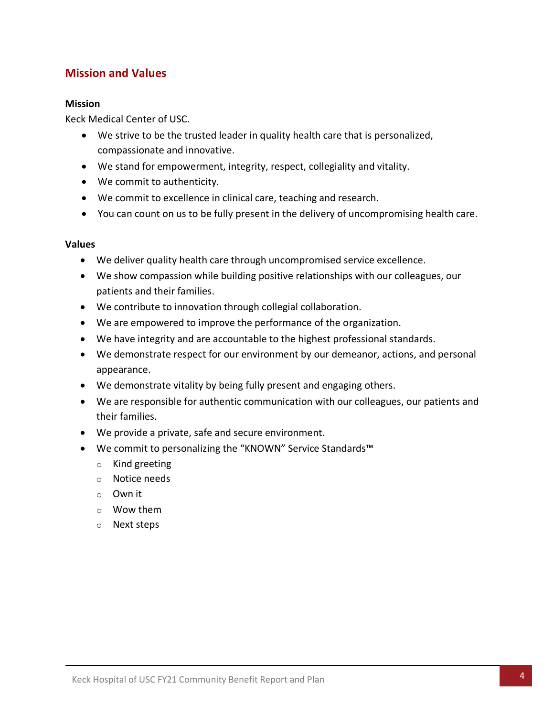# <span id="page-4-0"></span>**Mission and Values**

#### **Mission**

Keck Medical Center of USC.

- We strive to be the trusted leader in quality health care that is personalized, compassionate and innovative.
- We stand for empowerment, integrity, respect, collegiality and vitality.
- We commit to authenticity.
- We commit to excellence in clinical care, teaching and research.
- You can count on us to be fully present in the delivery of uncompromising health care.

#### **Values**

- We deliver quality health care through uncompromised service excellence.
- We show compassion while building positive relationships with our colleagues, our patients and their families.
- We contribute to innovation through collegial collaboration.
- We are empowered to improve the performance of the organization.
- We have integrity and are accountable to the highest professional standards.
- We demonstrate respect for our environment by our demeanor, actions, and personal appearance.
- We demonstrate vitality by being fully present and engaging others.
- We are responsible for authentic communication with our colleagues, our patients and their families.
- We provide a private, safe and secure environment.
- We commit to personalizing the "KNOWN" Service Standards™
	- o Kind greeting
	- o Notice needs
	- o Own it
	- o Wow them
	- o Next steps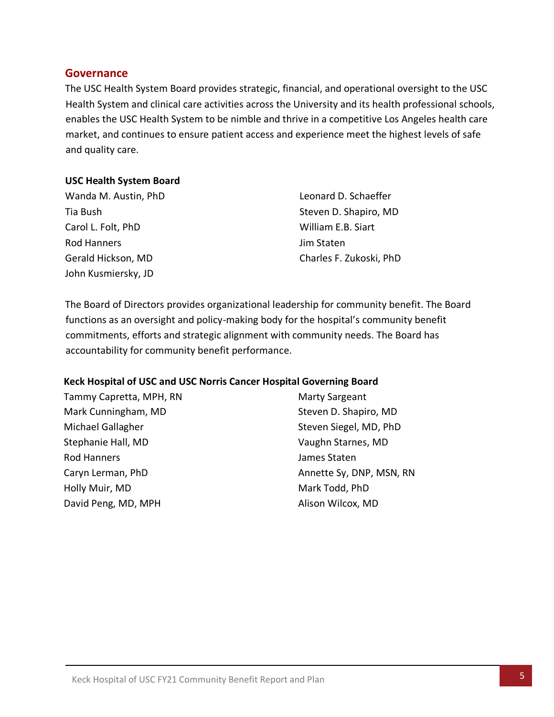### <span id="page-5-0"></span>**Governance**

The USC Health System Board provides strategic, financial, and operational oversight to the USC Health System and clinical care activities across the University and its health professional schools, enables the USC Health System to be nimble and thrive in a competitive Los Angeles health care market, and continues to ensure patient access and experience meet the highest levels of safe and quality care.

#### **USC Health System Board**

| Wanda M. Austin, PhD |  |
|----------------------|--|
| Tia Bush             |  |
| Carol L. Folt, PhD   |  |
| <b>Rod Hanners</b>   |  |
| Gerald Hickson, MD   |  |
| John Kusmiersky, JD  |  |

Leonard D. Schaeffer Steven D. Shapiro, MD William E.B. Siart Jim Staten Charles F. Zukoski, PhD

The Board of Directors provides organizational leadership for community benefit. The Board functions as an oversight and policy-making body for the hospital's community benefit commitments, efforts and strategic alignment with community needs. The Board has accountability for community benefit performance.

### **Keck Hospital of USC and USC Norris Cancer Hospital Governing Board**

Tammy Capretta, MPH, RN Mark Cunningham, MD Michael Gallagher Stephanie Hall, MD Rod Hanners Caryn Lerman, PhD Holly Muir, MD David Peng, MD, MPH

Marty Sargeant Steven D. Shapiro, MD Steven Siegel, MD, PhD Vaughn Starnes, MD James Staten Annette Sy, DNP, MSN, RN Mark Todd, PhD Alison Wilcox, MD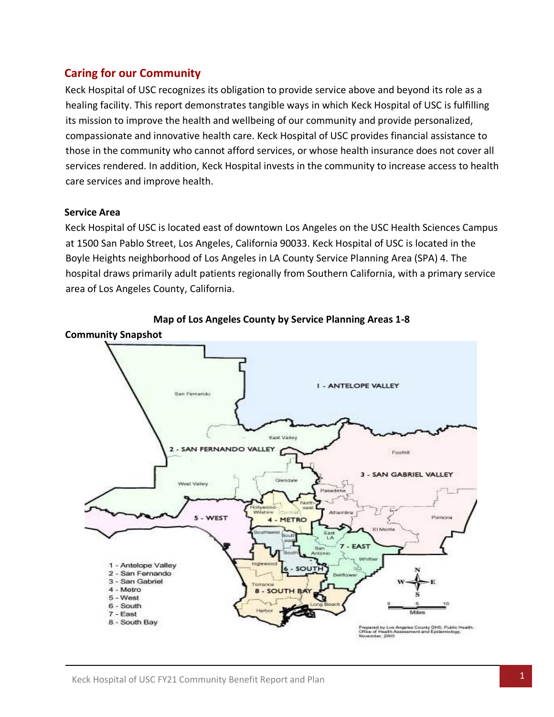# <span id="page-6-0"></span>**Caring for our Community**

Keck Hospital of USC recognizes its obligation to provide service above and beyond its role as a healing facility. This report demonstrates tangible ways in which Keck Hospital of USC is fulfilling its mission to improve the health and wellbeing of our community and provide personalized, compassionate and innovative health care. Keck Hospital of USC provides financial assistance to those in the community who cannot afford services, or whose health insurance does not cover all services rendered. In addition, Keck Hospital invests in the community to increase access to health care services and improve health.

### **Service Area**

Keck Hospital of USC is located east of downtown Los Angeles on the USC Health Sciences Campus at 1500 San Pablo Street, Los Angeles, California 90033. Keck Hospital of USC is located in the Boyle Heights neighborhood of Los Angeles in LA County Service Planning Area (SPA) 4. The hospital draws primarily adult patients regionally from Southern California, with a primary service area of Los Angeles County, California.



**Map of Los Angeles County by Service Planning Areas 1-8**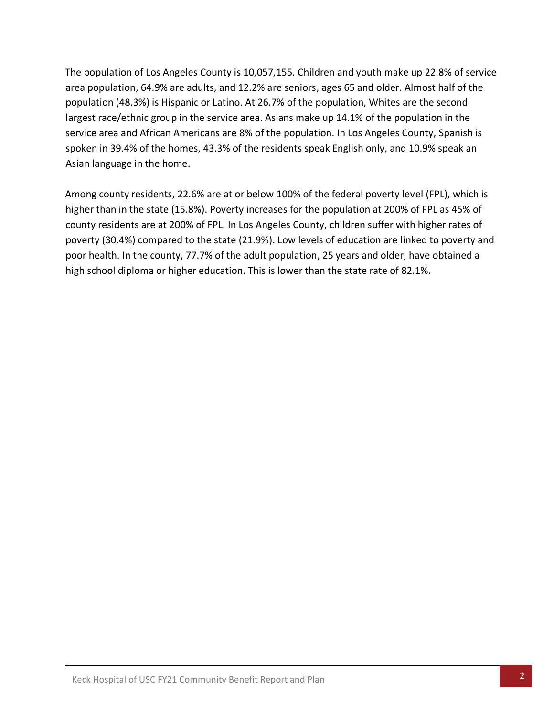The population of Los Angeles County is 10,057,155. Children and youth make up 22.8% of service area population, 64.9% are adults, and 12.2% are seniors, ages 65 and older. Almost half of the population (48.3%) is Hispanic or Latino. At 26.7% of the population, Whites are the second largest race/ethnic group in the service area. Asians make up 14.1% of the population in the service area and African Americans are 8% of the population. In Los Angeles County, Spanish is spoken in 39.4% of the homes, 43.3% of the residents speak English only, and 10.9% speak an Asian language in the home.

Among county residents, 22.6% are at or below 100% of the federal poverty level (FPL), which is higher than in the state (15.8%). Poverty increases for the population at 200% of FPL as 45% of county residents are at 200% of FPL. In Los Angeles County, children suffer with higher rates of poverty (30.4%) compared to the state (21.9%). Low levels of education are linked to poverty and poor health. In the county, 77.7% of the adult population, 25 years and older, have obtained a high school diploma or higher education. This is lower than the state rate of 82.1%.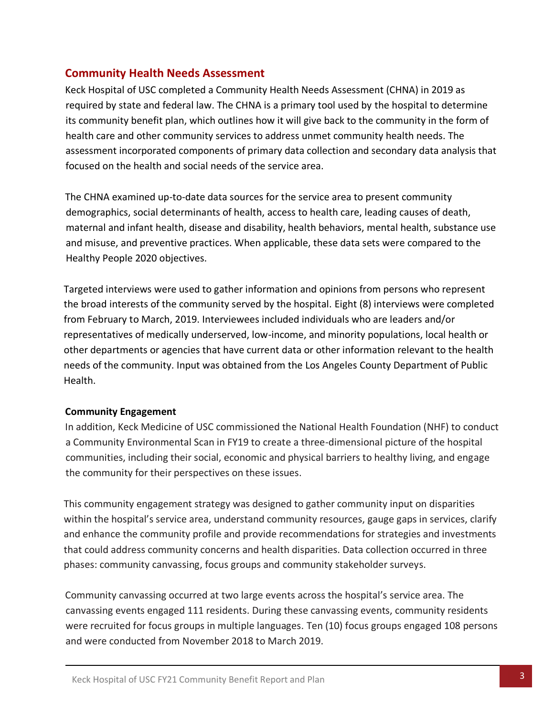# <span id="page-8-0"></span>**Community Health Needs Assessment**

Keck Hospital of USC completed a Community Health Needs Assessment (CHNA) in 2019 as required by state and federal law. The CHNA is a primary tool used by the hospital to determine its community benefit plan, which outlines how it will give back to the community in the form of health care and other community services to address unmet community health needs. The assessment incorporated components of primary data collection and secondary data analysis that focused on the health and social needs of the service area.

The CHNA examined up-to-date data sources for the service area to present community demographics, social determinants of health, access to health care, leading causes of death, maternal and infant health, disease and disability, health behaviors, mental health, substance use and misuse, and preventive practices. When applicable, these data sets were compared to the Healthy People 2020 objectives.

Targeted interviews were used to gather information and opinions from persons who represent the broad interests of the community served by the hospital. Eight (8) interviews were completed from February to March, 2019. Interviewees included individuals who are leaders and/or representatives of medically underserved, low-income, and minority populations, local health or other departments or agencies that have current data or other information relevant to the health needs of the community. Input was obtained from the Los Angeles County Department of Public Health.

### **Community Engagement**

In addition, Keck Medicine of USC commissioned the National Health Foundation (NHF) to conduct a Community Environmental Scan in FY19 to create a three-dimensional picture of the hospital communities, including their social, economic and physical barriers to healthy living, and engage the community for their perspectives on these issues.

This community engagement strategy was designed to gather community input on disparities within the hospital's service area, understand community resources, gauge gaps in services, clarify and enhance the community profile and provide recommendations for strategies and investments that could address community concerns and health disparities. Data collection occurred in three phases: community canvassing, focus groups and community stakeholder surveys.

Community canvassing occurred at two large events across the hospital's service area. The canvassing events engaged 111 residents. During these canvassing events, community residents were recruited for focus groups in multiple languages. Ten (10) focus groups engaged 108 persons and were conducted from November 2018 to March 2019.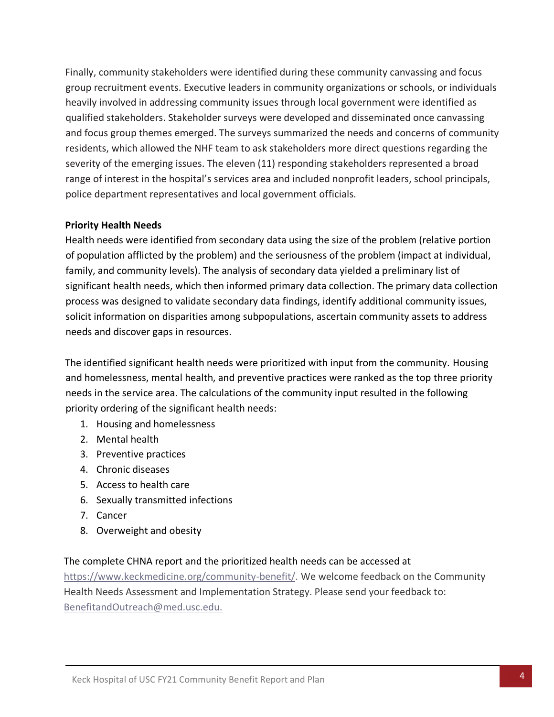Finally, community stakeholders were identified during these community canvassing and focus group recruitment events. Executive leaders in community organizations or schools, or individuals heavily involved in addressing community issues through local government were identified as qualified stakeholders. Stakeholder surveys were developed and disseminated once canvassing and focus group themes emerged. The surveys summarized the needs and concerns of community residents, which allowed the NHF team to ask stakeholders more direct questions regarding the severity of the emerging issues. The eleven (11) responding stakeholders represented a broad range of interest in the hospital's services area and included nonprofit leaders, school principals, police department representatives and local government officials.

### **Priority Health Needs**

Health needs were identified from secondary data using the size of the problem (relative portion of population afflicted by the problem) and the seriousness of the problem (impact at individual, family, and community levels). The analysis of secondary data yielded a preliminary list of significant health needs, which then informed primary data collection. The primary data collection process was designed to validate secondary data findings, identify additional community issues, solicit information on disparities among subpopulations, ascertain community assets to address needs and discover gaps in resources.

The identified significant health needs were prioritized with input from the community. Housing and homelessness, mental health, and preventive practices were ranked as the top three priority needs in the service area. The calculations of the community input resulted in the following priority ordering of the significant health needs:

- 1. Housing and homelessness
- 2. Mental health
- 3. Preventive practices
- 4. Chronic diseases
- 5. Access to health care
- 6. Sexually transmitted infections
- 7. Cancer
- 8. Overweight and obesity

### The complete CHNA report and the prioritized health needs can be accessed at

[https://www.keckmedicine.org/community-benefit/.](https://www.keckmedicine.org/community-benefit/) We welcome feedback on the Community Health Needs Assessment and Implementation Strategy. Please send your feedback to: [BenefitandOutreach@med.usc.edu.](mailto:BenefitandOutreach@med.usc.edu.)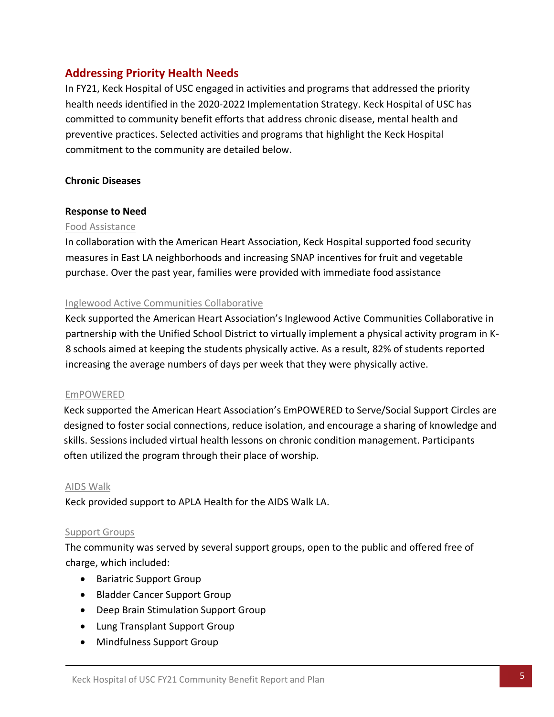# <span id="page-10-0"></span>**Addressing Priority Health Needs**

In FY21, Keck Hospital of USC engaged in activities and programs that addressed the priority health needs identified in the 2020-2022 Implementation Strategy. Keck Hospital of USC has committed to community benefit efforts that address chronic disease, mental health and preventive practices. Selected activities and programs that highlight the Keck Hospital commitment to the community are detailed below.

### **Chronic Diseases**

### **Response to Need**

### Food Assistance

In collaboration with the American Heart Association, Keck Hospital supported food security measures in East LA neighborhoods and increasing SNAP incentives for fruit and vegetable purchase. Over the past year, families were provided with immediate food assistance

### Inglewood Active Communities Collaborative

Keck supported the American Heart Association's Inglewood Active Communities Collaborative in partnership with the Unified School District to virtually implement a physical activity program in K-8 schools aimed at keeping the students physically active. As a result, 82% of students reported increasing the average numbers of days per week that they were physically active.

### EmPOWERED

Keck supported the American Heart Association's EmPOWERED to Serve/Social Support Circles are designed to foster social connections, reduce isolation, and encourage a sharing of knowledge and skills. Sessions included virtual health lessons on chronic condition management. Participants often utilized the program through their place of worship.

### AIDS Walk

Keck provided support to APLA Health for the AIDS Walk LA.

### Support Groups

The community was served by several support groups, open to the public and offered free of charge, which included:

- Bariatric Support Group
- Bladder Cancer Support Group
- Deep Brain Stimulation Support Group
- Lung Transplant Support Group
- Mindfulness Support Group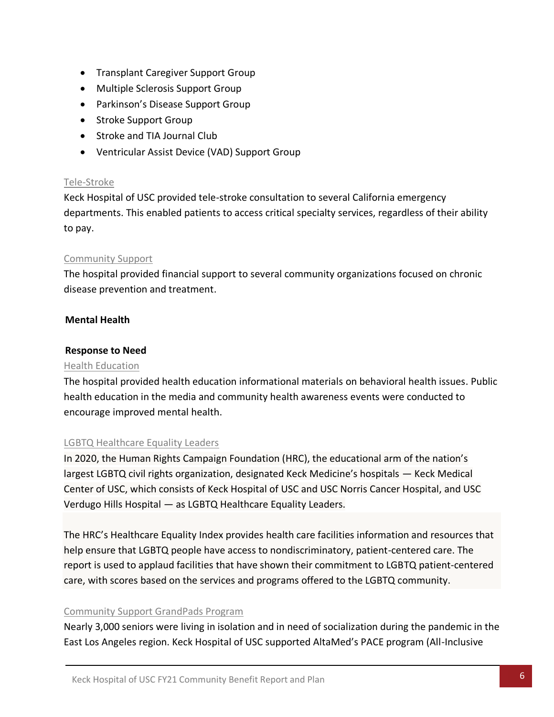- Transplant Caregiver Support Group
- Multiple Sclerosis Support Group
- Parkinson's Disease Support Group
- Stroke Support Group
- Stroke and TIA Journal Club
- Ventricular Assist Device (VAD) Support Group

### Tele-Stroke

Keck Hospital of USC provided tele-stroke consultation to several California emergency departments. This enabled patients to access critical specialty services, regardless of their ability to pay.

### Community Support

The hospital provided financial support to several community organizations focused on chronic disease prevention and treatment.

### **Mental Health**

### **Response to Need**

### Health Education

The hospital provided health education informational materials on behavioral health issues. Public health education in the media and community health awareness events were conducted to encourage improved mental health.

### LGBTQ Healthcare Equality Leaders

In 2020, the Human Rights Campaign Foundation (HRC), the educational arm of the nation's largest LGBTQ civil rights organization, designated Keck Medicine's hospitals — Keck Medical Center of USC, which consists of Keck Hospital of USC and USC Norris Cancer Hospital, and USC Verdugo Hills Hospital — as LGBTQ Healthcare Equality Leaders.

The HRC's Healthcare Equality Index provides health care facilities information and resources that help ensure that LGBTQ people have access to nondiscriminatory, patient-centered care. The report is used to applaud facilities that have shown their commitment to LGBTQ patient-centered care, with scores based on the services and programs offered to the LGBTQ community.

### Community Support GrandPads Program

Nearly 3,000 seniors were living in isolation and in need of socialization during the pandemic in the East Los Angeles region. Keck Hospital of USC supported AltaMed's PACE program (All-Inclusive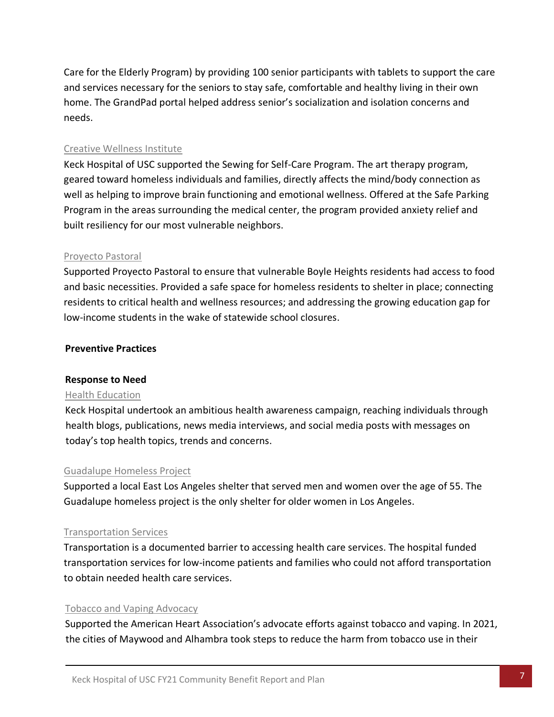Care for the Elderly Program) by providing 100 senior participants with tablets to support the care and services necessary for the seniors to stay safe, comfortable and healthy living in their own home. The GrandPad portal helped address senior's socialization and isolation concerns and needs.

### Creative Wellness Institute

Keck Hospital of USC supported the Sewing for Self-Care Program. The art therapy program, geared toward homeless individuals and families, directly affects the mind/body connection as well as helping to improve brain functioning and emotional wellness. Offered at the Safe Parking Program in the areas surrounding the medical center, the program provided anxiety relief and built resiliency for our most vulnerable neighbors.

### Proyecto Pastoral

Supported Proyecto Pastoral to ensure that vulnerable Boyle Heights residents had access to food and basic necessities. Provided a safe space for homeless residents to shelter in place; connecting residents to critical health and wellness resources; and addressing the growing education gap for low-income students in the wake of statewide school closures.

### **Preventive Practices**

### **Response to Need**

#### Health Education

Keck Hospital undertook an ambitious health awareness campaign, reaching individuals through health blogs, publications, news media interviews, and social media posts with messages on today's top health topics, trends and concerns.

#### Guadalupe Homeless Project

Supported a local East Los Angeles shelter that served men and women over the age of 55. The Guadalupe homeless project is the only shelter for older women in Los Angeles.

### Transportation Services

Transportation is a documented barrier to accessing health care services. The hospital funded transportation services for low-income patients and families who could not afford transportation to obtain needed health care services.

### Tobacco and Vaping Advocacy

Supported the American Heart Association's advocate efforts against tobacco and vaping. In 2021, the cities of Maywood and Alhambra took steps to reduce the harm from tobacco use in their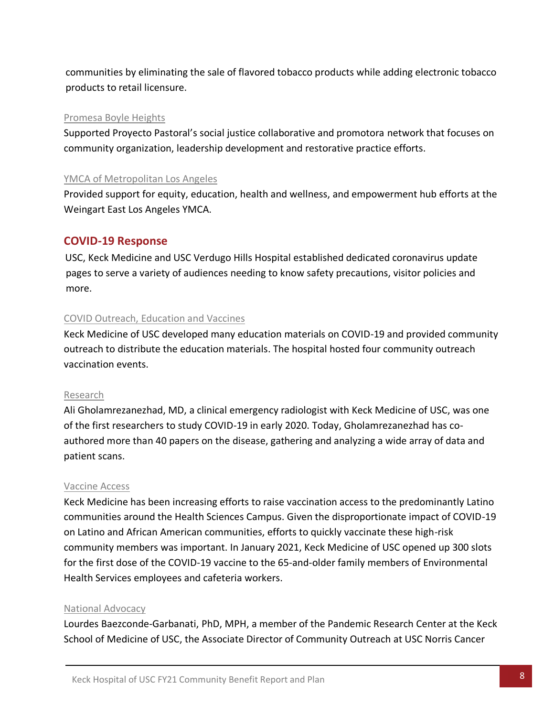communities by eliminating the sale of flavored tobacco products while adding electronic tobacco products to retail licensure.

#### Promesa Boyle Heights

Supported Proyecto Pastoral's social justice collaborative and promotora network that focuses on community organization, leadership development and restorative practice efforts.

### YMCA of Metropolitan Los Angeles

Provided support for equity, education, health and wellness, and empowerment hub efforts at the Weingart East Los Angeles YMCA.

## **COVID-19 Response**

USC, Keck Medicine and USC Verdugo Hills Hospital established dedicated coronavirus update pages to serve a variety of audiences needing to know safety precautions, visitor policies and more.

### COVID Outreach, Education and Vaccines

Keck Medicine of USC developed many education materials on COVID-19 and provided community outreach to distribute the education materials. The hospital hosted four community outreach vaccination events.

### Research

Ali Gholamrezanezhad, MD, a clinical emergency radiologist with Keck Medicine of USC, was one of the first researchers to study COVID-19 in early 2020. Today, Gholamrezanezhad has coauthored more than 40 papers on the disease, gathering and analyzing a wide array of data and patient scans.

### Vaccine Access

Keck Medicine has been increasing efforts to raise vaccination access to the predominantly Latino communities around the Health Sciences Campus. Given the disproportionate impact of COVID-19 on Latino and African American communities, efforts to quickly vaccinate these high-risk community members was important. In January 2021, Keck Medicine of USC opened up 300 slots for the first dose of the COVID-19 vaccine to the 65-and-older family members of Environmental Health Services employees and cafeteria workers.

### National Advocacy

Lourdes Baezconde-Garbanati, PhD, MPH, a member of the Pandemic Research Center at the Keck School of Medicine of USC, the Associate Director of Community Outreach at USC Norris Cancer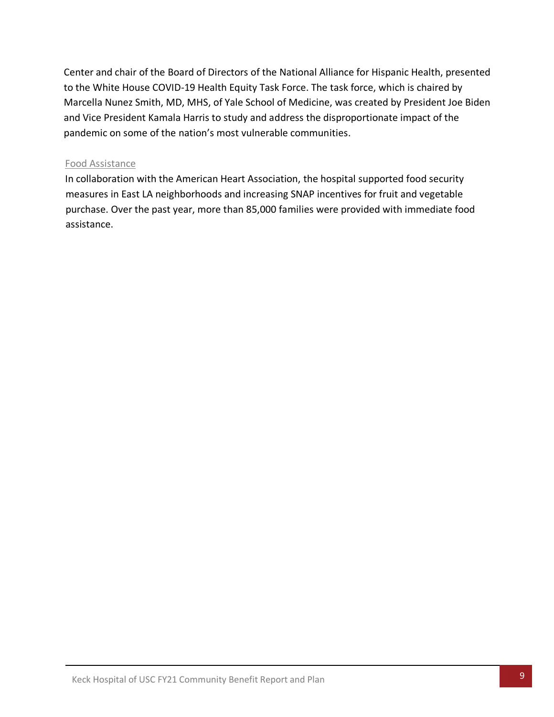Center and chair of the Board of Directors of the National Alliance for Hispanic Health, presented to the White House COVID-19 Health Equity Task Force. The task force, which is chaired by Marcella Nunez Smith, MD, MHS, of Yale School of Medicine, was created by President Joe Biden and Vice President Kamala Harris to study and address the disproportionate impact of the pandemic on some of the nation's most vulnerable communities.

### Food Assistance

In collaboration with the American Heart Association, the hospital supported food security measures in East LA neighborhoods and increasing SNAP incentives for fruit and vegetable purchase. Over the past year, more than 85,000 families were provided with immediate food assistance.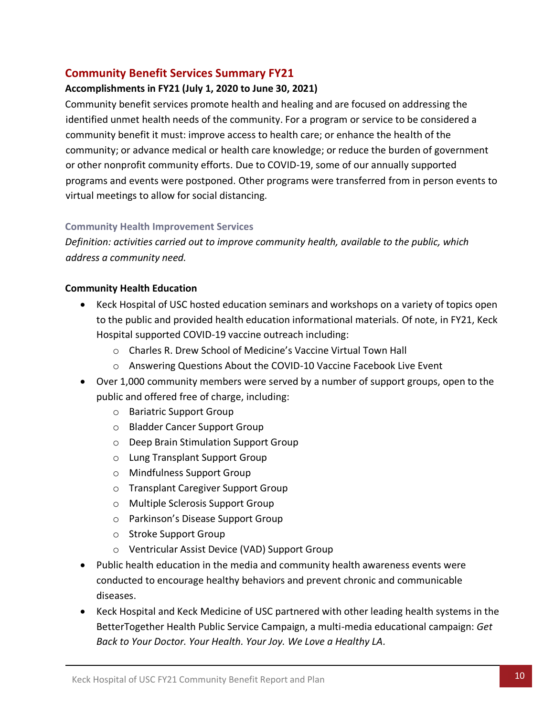# <span id="page-15-0"></span>**Community Benefit Services Summary FY21**

### **Accomplishments in FY21 (July 1, 2020 to June 30, 2021)**

Community benefit services promote health and healing and are focused on addressing the identified unmet health needs of the community. For a program or service to be considered a community benefit it must: improve access to health care; or enhance the health of the community; or advance medical or health care knowledge; or reduce the burden of government or other nonprofit community efforts. Due to COVID-19, some of our annually supported programs and events were postponed. Other programs were transferred from in person events to virtual meetings to allow for social distancing.

### **Community Health Improvement Services**

*Definition: activities carried out to improve community health, available to the public, which address a community need.* 

### **Community Health Education**

- Keck Hospital of USC hosted education seminars and workshops on a variety of topics open to the public and provided health education informational materials. Of note, in FY21, Keck Hospital supported COVID-19 vaccine outreach including:
	- o Charles R. Drew School of Medicine's Vaccine Virtual Town Hall
	- o Answering Questions About the COVID-10 Vaccine Facebook Live Event
- Over 1,000 community members were served by a number of support groups, open to the public and offered free of charge, including:
	- o Bariatric Support Group
	- o Bladder Cancer Support Group
	- o Deep Brain Stimulation Support Group
	- o Lung Transplant Support Group
	- o Mindfulness Support Group
	- o Transplant Caregiver Support Group
	- o Multiple Sclerosis Support Group
	- o Parkinson's Disease Support Group
	- o Stroke Support Group
	- o Ventricular Assist Device (VAD) Support Group
- Public health education in the media and community health awareness events were conducted to encourage healthy behaviors and prevent chronic and communicable diseases.
- Keck Hospital and Keck Medicine of USC partnered with other leading health systems in the BetterTogether Health Public Service Campaign, a multi-media educational campaign: *Get Back to Your Doctor. Your Health. Your Joy. We Love a Healthy LA.*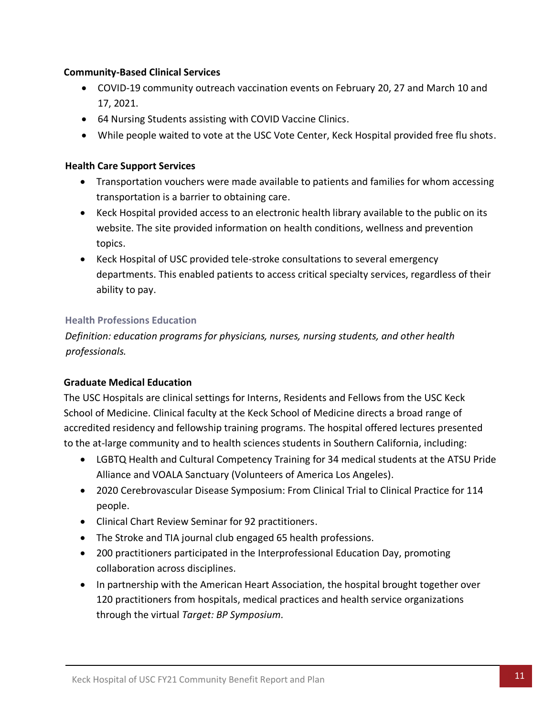### **Community-Based Clinical Services**

- COVID-19 community outreach vaccination events on February 20, 27 and March 10 and 17, 2021.
- 64 Nursing Students assisting with COVID Vaccine Clinics.
- While people waited to vote at the USC Vote Center, Keck Hospital provided free flu shots.

### **Health Care Support Services**

- Transportation vouchers were made available to patients and families for whom accessing transportation is a barrier to obtaining care.
- Keck Hospital provided access to an electronic health library available to the public on its website. The site provided information on health conditions, wellness and prevention topics.
- Keck Hospital of USC provided tele-stroke consultations to several emergency departments. This enabled patients to access critical specialty services, regardless of their ability to pay.

### **Health Professions Education**

*Definition: education programs for physicians, nurses, nursing students, and other health professionals.*

### **Graduate Medical Education**

The USC Hospitals are clinical settings for Interns, Residents and Fellows from the USC Keck School of Medicine. Clinical faculty at the Keck School of Medicine directs a broad range of accredited residency and fellowship training programs. The hospital offered lectures presented to the at-large community and to health sciences students in Southern California, including:

- LGBTQ Health and Cultural Competency Training for 34 medical students at the ATSU Pride Alliance and VOALA Sanctuary (Volunteers of America Los Angeles).
- 2020 Cerebrovascular Disease Symposium: From Clinical Trial to Clinical Practice for 114 people.
- Clinical Chart Review Seminar for 92 practitioners.
- The Stroke and TIA journal club engaged 65 health professions.
- 200 practitioners participated in the Interprofessional Education Day, promoting collaboration across disciplines.
- In partnership with the American Heart Association, the hospital brought together over 120 practitioners from hospitals, medical practices and health service organizations through the virtual *Target: BP Symposium.*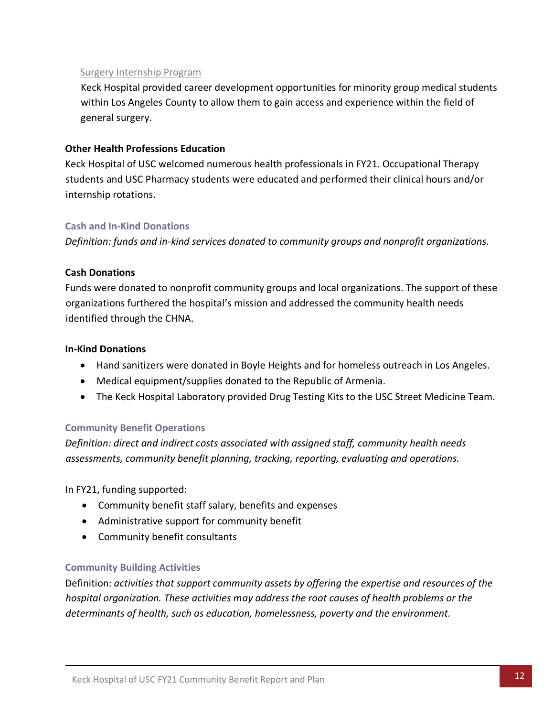### Surgery Internship Program

Keck Hospital provided career development opportunities for minority group medical students within Los Angeles County to allow them to gain access and experience within the field of general surgery.

### **Other Health Professions Education**

Keck Hospital of USC welcomed numerous health professionals in FY21. Occupational Therapy students and USC Pharmacy students were educated and performed their clinical hours and/or internship rotations.

### **Cash and In-Kind Donations**

*Definition: funds and in-kind services donated to community groups and nonprofit organizations.*

### **Cash Donations**

Funds were donated to nonprofit community groups and local organizations. The support of these organizations furthered the hospital's mission and addressed the community health needs identified through the CHNA.

### **In-Kind Donations**

- Hand sanitizers were donated in Boyle Heights and for homeless outreach in Los Angeles.
- Medical equipment/supplies donated to the Republic of Armenia.
- The Keck Hospital Laboratory provided Drug Testing Kits to the USC Street Medicine Team.

### **Community Benefit Operations**

*Definition: direct and indirect costs associated with assigned staff, community health needs assessments, community benefit planning, tracking, reporting, evaluating and operations.* 

In FY21, funding supported:

- Community benefit staff salary, benefits and expenses
- Administrative support for community benefit
- Community benefit consultants

### **Community Building Activities**

Definition: *activities that support community assets by offering the expertise and resources of the hospital organization. These activities may address the root causes of health problems or the determinants of health, such as education, homelessness, poverty and the environment.*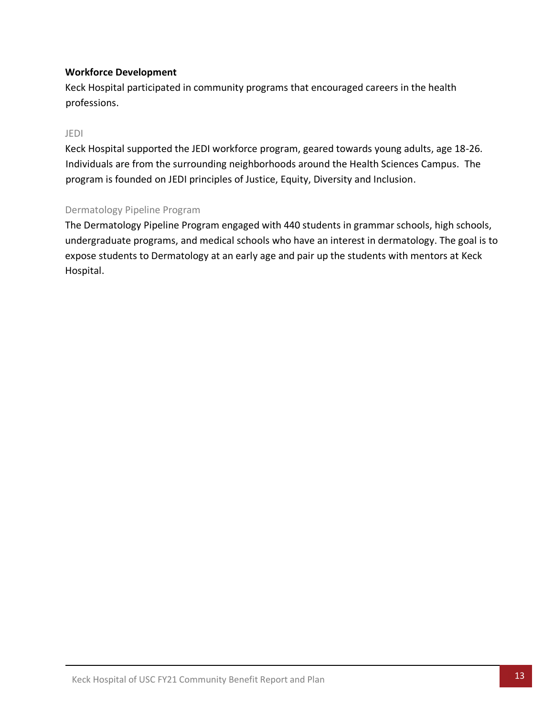### **Workforce Development**

Keck Hospital participated in community programs that encouraged careers in the health professions.

### JEDI

Keck Hospital supported the JEDI workforce program, geared towards young adults, age 18-26. Individuals are from the surrounding neighborhoods around the Health Sciences Campus. The program is founded on JEDI principles of Justice, Equity, Diversity and Inclusion.

### Dermatology Pipeline Program

The Dermatology Pipeline Program engaged with 440 students in grammar schools, high schools, undergraduate programs, and medical schools who have an interest in dermatology. The goal is to expose students to Dermatology at an early age and pair up the students with mentors at Keck Hospital.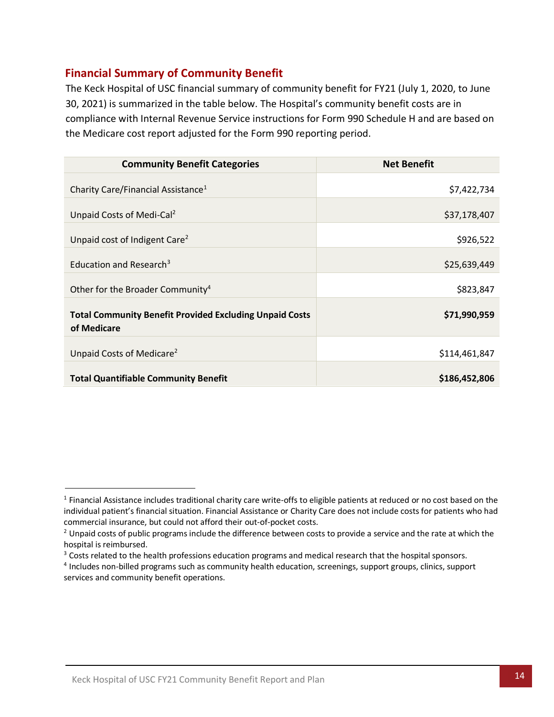# <span id="page-19-0"></span>**Financial Summary of Community Benefit**

The Keck Hospital of USC financial summary of community benefit for FY21 (July 1, 2020, to June 30, 2021) is summarized in the table below. The Hospital's community benefit costs are in compliance with Internal Revenue Service instructions for Form 990 Schedule H and are based on the Medicare cost report adjusted for the Form 990 reporting period.

| <b>Community Benefit Categories</b>                                           | <b>Net Benefit</b> |
|-------------------------------------------------------------------------------|--------------------|
| Charity Care/Financial Assistance <sup>1</sup>                                | \$7,422,734        |
| Unpaid Costs of Medi-Cal <sup>2</sup>                                         | \$37,178,407       |
| Unpaid cost of Indigent Care <sup>2</sup>                                     | \$926,522          |
| Education and Research <sup>3</sup>                                           | \$25,639,449       |
| Other for the Broader Community <sup>4</sup>                                  | \$823,847          |
| <b>Total Community Benefit Provided Excluding Unpaid Costs</b><br>of Medicare | \$71,990,959       |
| Unpaid Costs of Medicare <sup>2</sup>                                         | \$114,461,847      |
| <b>Total Quantifiable Community Benefit</b>                                   | \$186,452,806      |

<sup>&</sup>lt;sup>1</sup> Financial Assistance includes traditional charity care write-offs to eligible patients at reduced or no cost based on the individual patient's financial situation. Financial Assistance or Charity Care does not include costs for patients who had commercial insurance, but could not afford their out-of-pocket costs.

 $2$  Unpaid costs of public programs include the difference between costs to provide a service and the rate at which the hospital is reimbursed.

<sup>&</sup>lt;sup>3</sup> Costs related to the health professions education programs and medical research that the hospital sponsors.

<sup>4</sup> Includes non-billed programs such as community health education, screenings, support groups, clinics, support services and community benefit operations.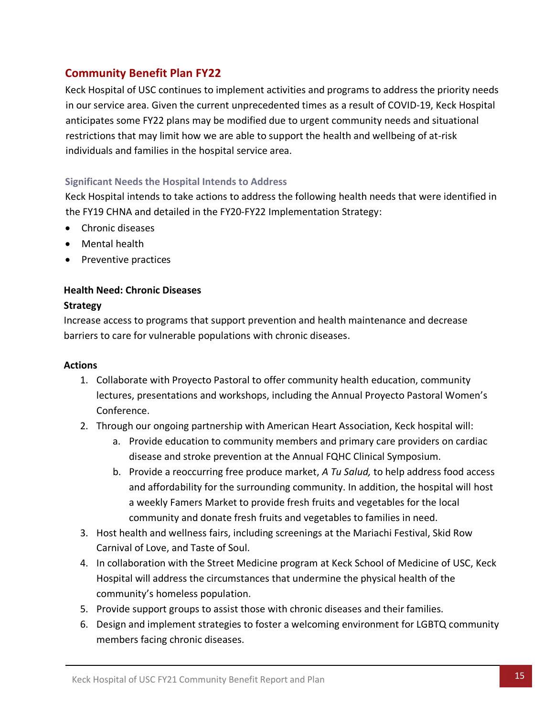# <span id="page-20-0"></span>**Community Benefit Plan FY22**

Keck Hospital of USC continues to implement activities and programs to address the priority needs in our service area. Given the current unprecedented times as a result of COVID-19, Keck Hospital anticipates some FY22 plans may be modified due to urgent community needs and situational restrictions that may limit how we are able to support the health and wellbeing of at-risk individuals and families in the hospital service area.

## <span id="page-20-1"></span>**Significant Needs the Hospital Intends to Address**

Keck Hospital intends to take actions to address the following health needs that were identified in the FY19 CHNA and detailed in the FY20-FY22 Implementation Strategy:

- Chronic diseases
- Mental health
- Preventive practices

## **Health Need: Chronic Diseases**

### **Strategy**

Increase access to programs that support prevention and health maintenance and decrease barriers to care for vulnerable populations with chronic diseases.

### **Actions**

- 1. Collaborate with Proyecto Pastoral to offer community health education, community lectures, presentations and workshops, including the Annual Proyecto Pastoral Women's Conference.
- 2. Through our ongoing partnership with American Heart Association, Keck hospital will:
	- a. Provide education to community members and primary care providers on cardiac disease and stroke prevention at the Annual FQHC Clinical Symposium.
	- b. Provide a reoccurring free produce market, *A Tu Salud,* to help address food access and affordability for the surrounding community. In addition, the hospital will host a weekly Famers Market to provide fresh fruits and vegetables for the local community and donate fresh fruits and vegetables to families in need.
- 3. Host health and wellness fairs, including screenings at the Mariachi Festival, Skid Row Carnival of Love, and Taste of Soul.
- 4. In collaboration with the Street Medicine program at Keck School of Medicine of USC, Keck Hospital will address the circumstances that undermine the physical health of the community's homeless population.
- 5. Provide support groups to assist those with chronic diseases and their families.
- 6. Design and implement strategies to foster a welcoming environment for LGBTQ community members facing chronic diseases.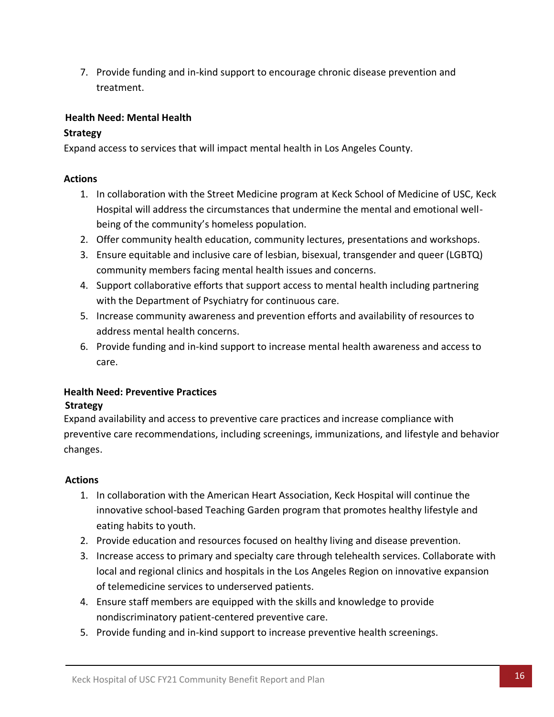7. Provide funding and in-kind support to encourage chronic disease prevention and treatment.

### **Health Need: Mental Health**

## **Strategy**

Expand access to services that will impact mental health in Los Angeles County.

### **Actions**

- 1. In collaboration with the Street Medicine program at Keck School of Medicine of USC, Keck Hospital will address the circumstances that undermine the mental and emotional wellbeing of the community's homeless population.
- 2. Offer community health education, community lectures, presentations and workshops.
- 3. Ensure equitable and inclusive care of lesbian, bisexual, transgender and queer (LGBTQ) community members facing mental health issues and concerns.
- 4. Support collaborative efforts that support access to mental health including partnering with the Department of Psychiatry for continuous care.
- 5. Increase community awareness and prevention efforts and availability of resources to address mental health concerns.
- 6. Provide funding and in-kind support to increase mental health awareness and access to care.

# **Health Need: Preventive Practices Strategy**

Expand availability and access to preventive care practices and increase compliance with preventive care recommendations, including screenings, immunizations, and lifestyle and behavior changes.

# **Actions**

- 1. In collaboration with the American Heart Association, Keck Hospital will continue the innovative school-based Teaching Garden program that promotes healthy lifestyle and eating habits to youth.
- 2. Provide education and resources focused on healthy living and disease prevention.
- 3. Increase access to primary and specialty care through telehealth services. Collaborate with local and regional clinics and hospitals in the Los Angeles Region on innovative expansion of telemedicine services to underserved patients.
- 4. Ensure staff members are equipped with the skills and knowledge to provide nondiscriminatory patient-centered preventive care.
- 5. Provide funding and in-kind support to increase preventive health screenings.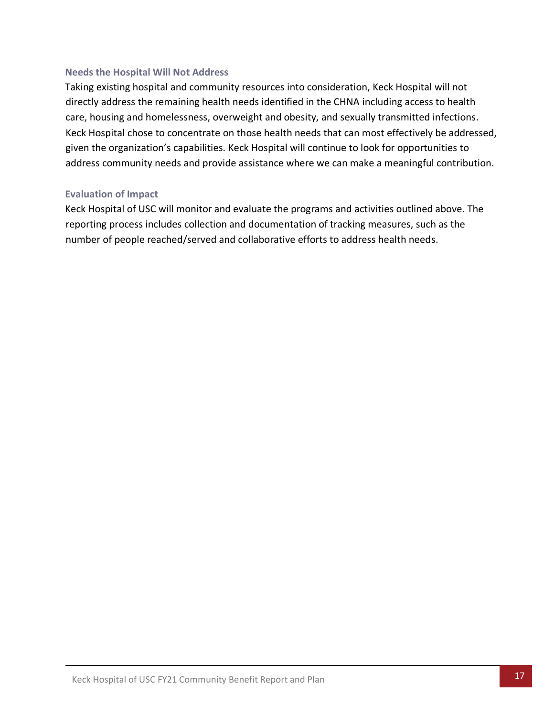### <span id="page-22-0"></span>**Needs the Hospital Will Not Address**

Taking existing hospital and community resources into consideration, Keck Hospital will not directly address the remaining health needs identified in the CHNA including access to health care, housing and homelessness, overweight and obesity, and sexually transmitted infections. Keck Hospital chose to concentrate on those health needs that can most effectively be addressed, given the organization's capabilities. Keck Hospital will continue to look for opportunities to address community needs and provide assistance where we can make a meaningful contribution.

#### <span id="page-22-1"></span>**Evaluation of Impact**

Keck Hospital of USC will monitor and evaluate the programs and activities outlined above. The reporting process includes collection and documentation of tracking measures, such as the number of people reached/served and collaborative efforts to address health needs.